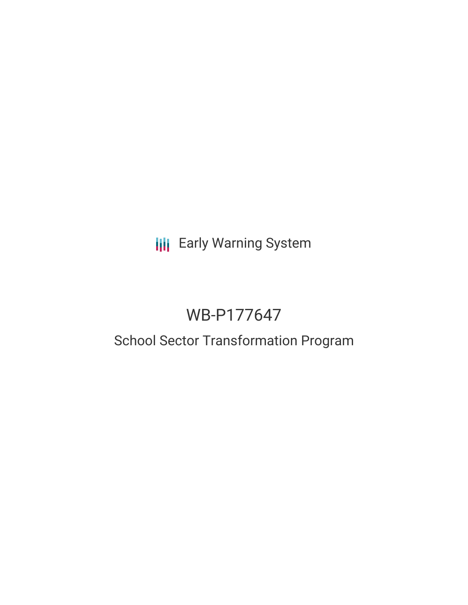**III** Early Warning System

# WB-P177647

## School Sector Transformation Program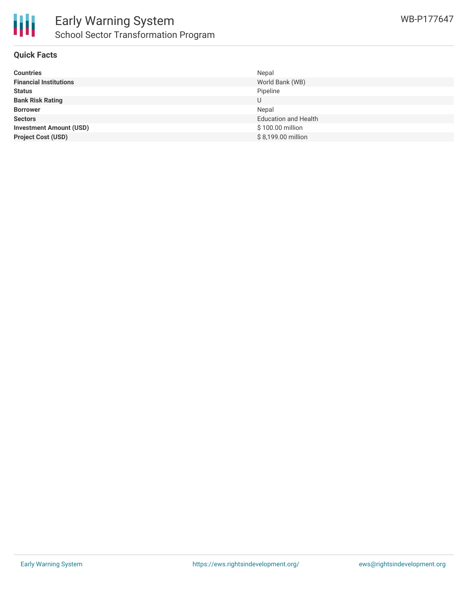

## **Quick Facts**

| <b>Countries</b>               | Nepal                       |
|--------------------------------|-----------------------------|
| <b>Financial Institutions</b>  | World Bank (WB)             |
| <b>Status</b>                  | Pipeline                    |
| <b>Bank Risk Rating</b>        | U                           |
| <b>Borrower</b>                | Nepal                       |
| <b>Sectors</b>                 | <b>Education and Health</b> |
| <b>Investment Amount (USD)</b> | \$100.00 million            |
| <b>Project Cost (USD)</b>      | \$8,199.00 million          |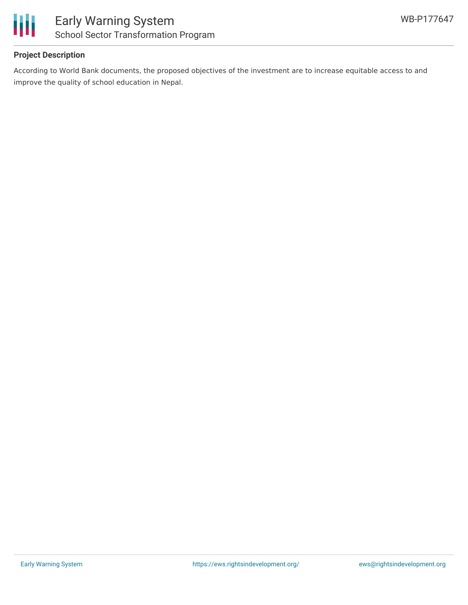

## **Project Description**

According to World Bank documents, the proposed objectives of the investment are to increase equitable access to and improve the quality of school education in Nepal.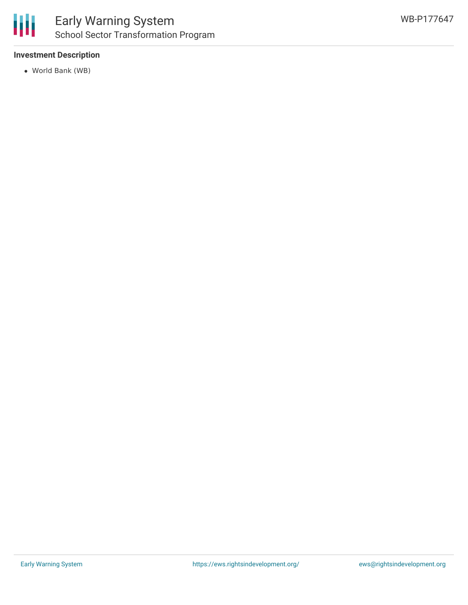

## **Investment Description**

World Bank (WB)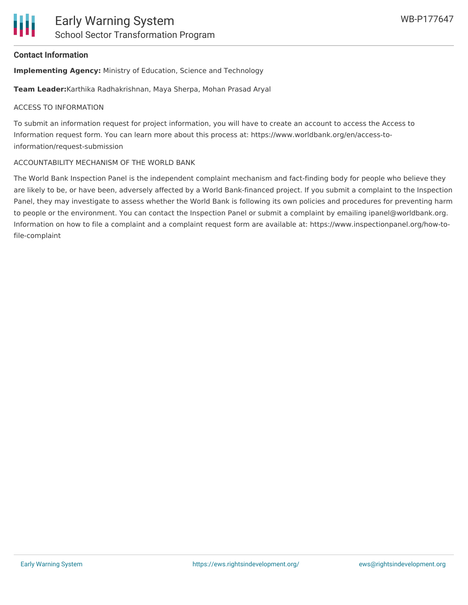#### **Contact Information**

**Implementing Agency:** Ministry of Education, Science and Technology

**Team Leader:**Karthika Radhakrishnan, Maya Sherpa, Mohan Prasad Aryal

#### ACCESS TO INFORMATION

To submit an information request for project information, you will have to create an account to access the Access to Information request form. You can learn more about this process at: https://www.worldbank.org/en/access-toinformation/request-submission

#### ACCOUNTABILITY MECHANISM OF THE WORLD BANK

The World Bank Inspection Panel is the independent complaint mechanism and fact-finding body for people who believe they are likely to be, or have been, adversely affected by a World Bank-financed project. If you submit a complaint to the Inspection Panel, they may investigate to assess whether the World Bank is following its own policies and procedures for preventing harm to people or the environment. You can contact the Inspection Panel or submit a complaint by emailing ipanel@worldbank.org. Information on how to file a complaint and a complaint request form are available at: https://www.inspectionpanel.org/how-tofile-complaint